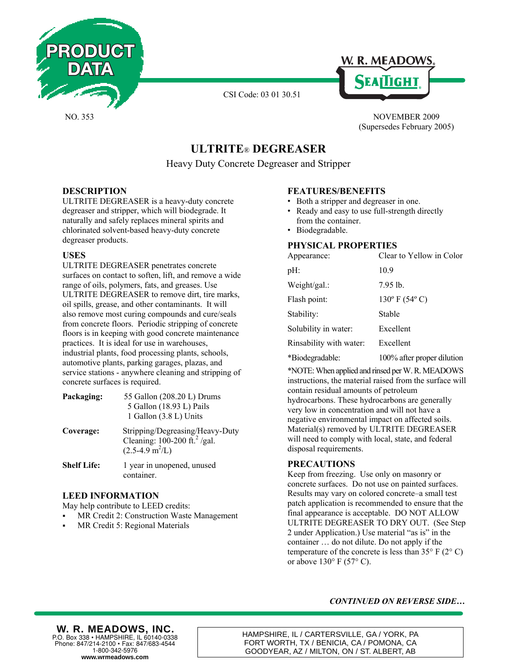





NO. 353 NOVEMBER 2009 (Supersedes February 2005)

# **ULTRITE**® **DEGREASER**

Heavy Duty Concrete Degreaser and Stripper

## **DESCRIPTION**

ULTRITE DEGREASER is a heavy-duty concrete degreaser and stripper, which will biodegrade. It naturally and safely replaces mineral spirits and chlorinated solvent-based heavy-duty concrete degreaser products.

## **USES**

ULTRITE DEGREASER penetrates concrete surfaces on contact to soften, lift, and remove a wide range of oils, polymers, fats, and greases. Use ULTRITE DEGREASER to remove dirt, tire marks, oil spills, grease, and other contaminants. It will also remove most curing compounds and cure/seals from concrete floors. Periodic stripping of concrete floors is in keeping with good concrete maintenance practices. It is ideal for use in warehouses, industrial plants, food processing plants, schools, automotive plants, parking garages, plazas, and service stations - anywhere cleaning and stripping of concrete surfaces is required.

| Packaging:         | 55 Gallon (208.20 L) Drums<br>5 Gallon (18.93 L) Pails<br>1 Gallon (3.8 L) Units                                  |
|--------------------|-------------------------------------------------------------------------------------------------------------------|
| Coverage:          | Stripping/Degreasing/Heavy-Duty<br>Cleaning: $100-200$ ft. <sup>2</sup> /gal.<br>$(2.5-4.9 \text{ m}^2/\text{L})$ |
| <b>Shelf Life:</b> | 1 year in unopened, unused<br>container.                                                                          |

#### **LEED INFORMATION**

May help contribute to LEED credits:

- MR Credit 2: Construction Waste Management
- MR Credit 5: Regional Materials

## **FEATURES/BENEFITS**

- Both a stripper and degreaser in one.
- Ready and easy to use full-strength directly from the container.
- Biodegradable.

## **PHYSICAL PROPERTIES**

| Appearance:             | Clear to Yellow in Color          |
|-------------------------|-----------------------------------|
| pH:                     | 10.9                              |
| Weight/gal.:            | 7.95 lb.                          |
| Flash point:            | $130^{\circ}$ F (54 $^{\circ}$ C) |
| Stability:              | Stable                            |
| Solubility in water:    | Excellent                         |
| Rinsability with water: | Excellent                         |
| *Biodegradable:         | 100% after proper dilution        |

\*NOTE: When applied and rinsed per W. R. MEADOWS instructions, the material raised from the surface will contain residual amounts of petroleum hydrocarbons. These hydrocarbons are generally very low in concentration and will not have a negative environmental impact on affected soils. Material(s) removed by ULTRITE DEGREASER will need to comply with local, state, and federal disposal requirements.

## **PRECAUTIONS**

Keep from freezing. Use only on masonry or concrete surfaces. Do not use on painted surfaces. Results may vary on colored concrete–a small test patch application is recommended to ensure that the final appearance is acceptable. DO NOT ALLOW ULTRITE DEGREASER TO DRY OUT. (See Step 2 under Application.) Use material "as is" in the container … do not dilute. Do not apply if the temperature of the concrete is less than  $35^{\circ}$  F (2° C) or above  $130^{\circ}$  F (57° C).

#### *CONTINUED ON REVERSE SIDE…*

## **W. R. MEADOWS, INC.**

**www.wrmeadows.com** P.O. Box 338 • HAMPSHIRE, IL 60140-0338 Phone: 847/214-2100 • Fax: 847/683-4544 1-800-342-5976

HAMPSHIRE, IL / CARTERSVILLE, GA / YORK, PA FORT WORTH, TX / BENICIA, CA / POMONA, CA GOODYEAR, AZ / MILTON, ON / ST. ALBERT, AB